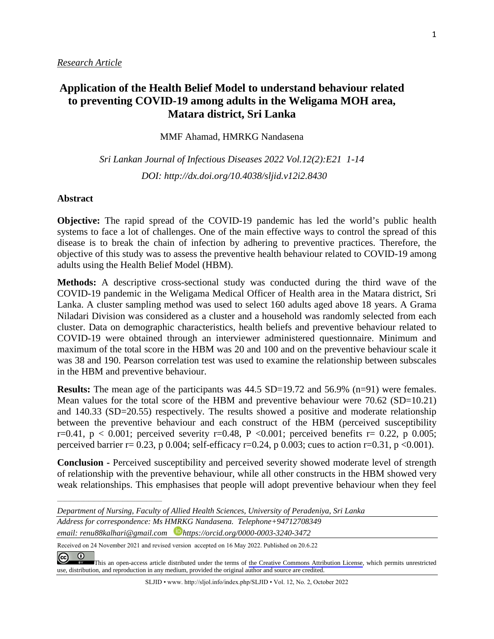# **Application of the Health Belief Model to understand behaviour related to preventing COVID-19 among adults in the Weligama MOH area, Matara district, Sri Lanka**

MMF Ahamad, HMRKG Nandasena

*Sri Lankan Journal of Infectious Diseases 2022 Vol.12(2):E21 1-14 DOI: [http://dx.doi.org/1](about:blank)0.4038/sljid.v12i2.8430*

#### **Abstract**

**Objective:** The rapid spread of the COVID-19 pandemic has led the world's public health systems to face a lot of challenges. One of the main effective ways to control the spread of this disease is to break the chain of infection by adhering to preventive practices. Therefore, the objective of this study was to assess the preventive health behaviour related to COVID-19 among adults using the Health Belief Model (HBM).

**Methods:** A descriptive cross-sectional study was conducted during the third wave of the COVID-19 pandemic in the Weligama Medical Officer of Health area in the Matara district, Sri Lanka. A cluster sampling method was used to select 160 adults aged above 18 years. A Grama Niladari Division was considered as a cluster and a household was randomly selected from each cluster. Data on demographic characteristics, health beliefs and preventive behaviour related to COVID-19 were obtained through an interviewer administered questionnaire. Minimum and maximum of the total score in the HBM was 20 and 100 and on the preventive behaviour scale it was 38 and 190. Pearson correlation test was used to examine the relationship between subscales in the HBM and preventive behaviour.

**Results:** The mean age of the participants was 44.5 SD=19.72 and 56.9% (n=91) were females. Mean values for the total score of the HBM and preventive behaviour were 70.62 (SD=10.21) and 140.33 (SD=20.55) respectively. The results showed a positive and moderate relationship between the preventive behaviour and each construct of the HBM (perceived susceptibility r=0.41,  $p < 0.001$ ; perceived severity r=0.48, P <0.001; perceived benefits r= 0.22, p 0.005; perceived barrier r= 0.23, p 0.004; self-efficacy r=0.24, p 0.003; cues to action r=0.31, p <0.001).

**Conclusion -** Perceived susceptibility and perceived severity showed moderate level of strength of relationship with the preventive behaviour, while all other constructs in the HBM showed very weak relationships. This emphasises that people will adopt preventive behaviour when they feel

*Address for correspondence: Ms HMRKG Nandasena. Telephone+94712708349 email: renu88kalhari@gmail.com https://orcid.org/0000-0003-3240-3472*

Received on 24 November 2021 and revised version accepted on 16 May 2022. Published on 20.6.22

 $\odot$  $\left(\mathrm{cc}\right)$ 

*\_\_\_\_\_\_\_\_\_\_\_\_\_\_\_\_\_\_\_\_\_\_\_\_\_\_\_\_\_\_\_\_\_\_\_\_\_\_\_\_*

SLJID • www. http://sljol.info/index.php/SLJID • Vol. 12, No. 2, October 2022

*Department of Nursing, Faculty of Allied Health Sciences, University of Peradeniya, Sri Lanka*

[T](https://creativecommons.org/licenses/by/4.0/)his an open-access article distributed under the terms of the Creative Commons [Attribution](https://creativecommons.org/licenses/by/4.0/) License, which permits unrestricted use, distribution, and reproduction in any medium, provided the original author and source are credited.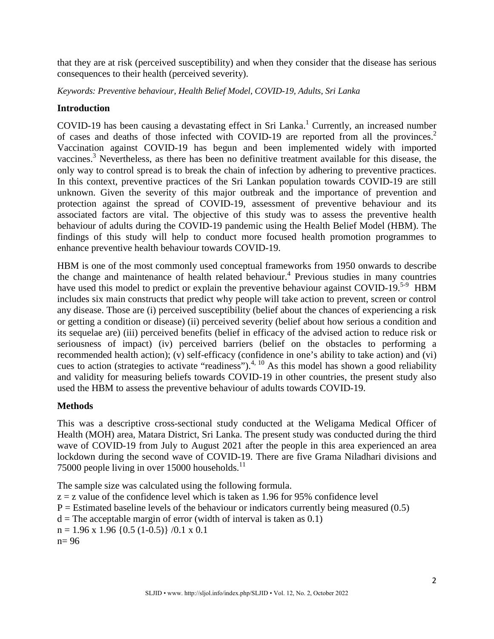that they are at risk (perceived susceptibility) and when they consider that the disease has serious consequences to their health (perceived severity).

*Keywords: Preventive behaviour, Health Belief Model, COVID-19, Adults, Sri Lanka*

## **Introduction**

COVID-19 has been causing a devastating effect in Sri Lanka.<sup>1</sup> Currently, an increased number of cases and deaths of those infected with COVID-19 are reported from all the provinces. 2 Vaccination against COVID-19 has begun and been implemented widely with imported vaccines.<sup>3</sup> Nevertheless, as there has been no definitive treatment available for this disease, the only way to control spread is to break the chain of infection by adhering to preventive practices. In this context, preventive practices of the Sri Lankan population towards COVID-19 are still unknown. Given the severity of this major outbreak and the importance of prevention and protection against the spread of COVID-19, assessment of preventive behaviour and its associated factors are vital. The objective of this study was to assess the preventive health behaviour of adults during the COVID-19 pandemic using the Health Belief Model (HBM). The findings of this study will help to conduct more focused health promotion programmes to enhance preventive health behaviour towards COVID-19.

HBM is one of the most commonly used conceptual frameworks from 1950 onwards to describe the change and maintenance of health related behaviour. <sup>4</sup> Previous studies in many countries have used this model to predict or explain the preventive behaviour against COVID-19.<sup>5-9</sup> HBM includes six main constructs that predict why people will take action to prevent, screen or control any disease. Those are (i) perceived susceptibility (belief about the chances of experiencing a risk or getting a condition or disease) (ii) perceived severity (belief about how serious a condition and its sequelae are) (iii) perceived benefits (belief in efficacy of the advised action to reduce risk or seriousness of impact) (iv) perceived barriers (belief on the obstacles to performing a recommended health action); (v) self-efficacy (confidence in one's ability to take action) and (vi) cues to action (strategies to activate "readiness").<sup>4, 10</sup> As this model has shown a good reliability and validity for measuring beliefs towards COVID-19 in other countries, the present study also used the HBM to assess the preventive behaviour of adults towards COVID-19.

## **Methods**

This was a descriptive cross-sectional study conducted at the Weligama Medical Officer of Health (MOH) area, Matara District, Sri Lanka. The present study was conducted during the third wave of COVID-19 from July to August 2021 after the people in this area experienced an area lockdown during the second wave of COVID-19. There are five Grama Niladhari divisions and 75000 people living in over 15000 households. $^{11}$ 

The sample size was calculated using the following formula.  $z = z$  value of the confidence level which is taken as 1.96 for 95% confidence level  $P =$  Estimated baseline levels of the behaviour or indicators currently being measured  $(0.5)$  $d =$ The acceptable margin of error (width of interval is taken as 0.1)  $n = 1.96 \times 1.96 \{0.5 (1 - 0.5)\} / 0.1 \times 0.1$ n= 96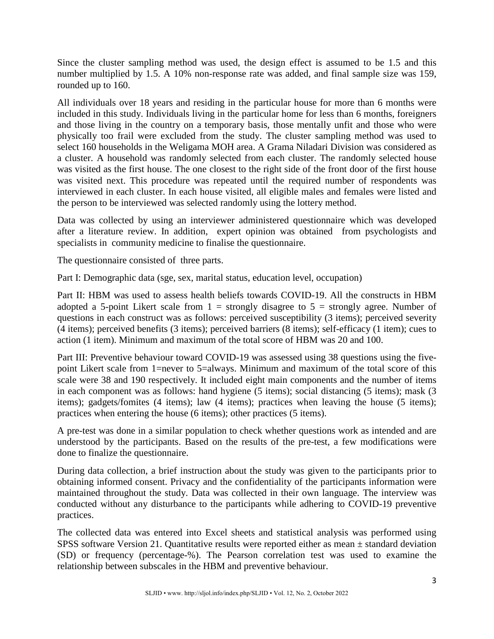Since the cluster sampling method was used, the design effect is assumed to be 1.5 and this number multiplied by 1.5. A 10% non-response rate was added, and final sample size was 159, rounded up to 160.

All individuals over 18 years and residing in the particular house for more than 6 months were included in this study. Individuals living in the particular home for less than 6 months, foreigners and those living in the country on a temporary basis, those mentally unfit and those who were physically too frail were excluded from the study. The cluster sampling method was used to select 160 households in the Weligama MOH area. A Grama Niladari Division was considered as a cluster. A household was randomly selected from each cluster. The randomly selected house was visited as the first house. The one closest to the right side of the front door of the first house was visited next. This procedure was repeated until the required number of respondents was interviewed in each cluster. In each house visited, all eligible males and females were listed and the person to be interviewed was selected randomly using the lottery method.

Data was collected by using an interviewer administered questionnaire which was developed after a literature review. In addition, expert opinion was obtained from psychologists and specialists in community medicine to finalise the questionnaire.

The questionnaire consisted of three parts.

Part I: Demographic data (sge, sex, marital status, education level, occupation)

Part II: HBM was used to assess health beliefs towards COVID-19. All the constructs in HBM adopted a 5-point Likert scale from  $1 =$  strongly disagree to  $5 =$  strongly agree. Number of questions in each construct was as follows: perceived susceptibility (3 items); perceived severity (4 items); perceived benefits (3 items); perceived barriers (8 items); self-efficacy (1 item); cues to action (1 item). Minimum and maximum of the total score of HBM was 20 and 100.

Part III: Preventive behaviour toward COVID-19 was assessed using 38 questions using the fivepoint Likert scale from 1=never to 5=always. Minimum and maximum of the total score of this scale were 38 and 190 respectively. It included eight main components and the number of items in each component was as follows: hand hygiene (5 items); social distancing (5 items); mask (3 items); gadgets/fomites (4 items); law (4 items); practices when leaving the house (5 items); practices when entering the house (6 items); other practices (5 items).

A pre-test was done in a similar population to check whether questions work as intended and are understood by the participants. Based on the results of the pre-test, a few modifications were done to finalize the questionnaire.

During data collection, a brief instruction about the study was given to the participants prior to obtaining informed consent. Privacy and the confidentiality of the participants information were maintained throughout the study. Data was collected in their own language. The interview was conducted without any disturbance to the participants while adhering to COVID-19 preventive practices.

The collected data was entered into Excel sheets and statistical analysis was performed using SPSS software Version 21. Quantitative results were reported either as mean ± standard deviation (SD) or frequency (percentage-%). The Pearson correlation test was used to examine the relationship between subscales in the HBM and preventive behaviour.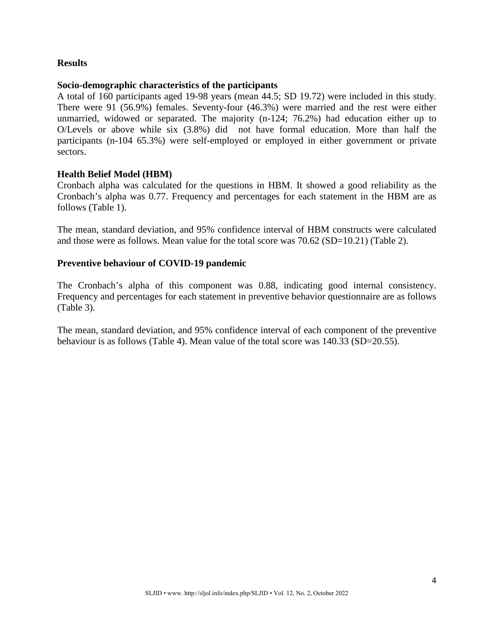## **Results**

### **Socio-demographic characteristics of the participants**

A total of 160 participants aged 19-98 years (mean 44.5; SD 19.72) were included in this study. There were 91 (56.9%) females. Seventy-four (46.3%) were married and the rest were either unmarried, widowed or separated. The majority (n-124; 76.2%) had education either up to O/Levels or above while six (3.8%) did not have formal education. More than half the participants (n-104 65.3%) were self-employed or employed in either government or private sectors.

### **Health Belief Model (HBM)**

Cronbach alpha was calculated for the questions in HBM. It showed a good reliability as the Cronbach's alpha was 0.77. Frequency and percentages for each statement in the HBM are as follows (Table 1).

The mean, standard deviation, and 95% confidence interval of HBM constructs were calculated and those were as follows. Mean value for the total score was 70.62 (SD=10.21) (Table 2).

### **Preventive behaviour of COVID-19 pandemic**

The Cronbach's alpha of this component was 0.88, indicating good internal consistency. Frequency and percentages for each statement in preventive behavior questionnaire are as follows (Table 3).

The mean, standard deviation, and 95% confidence interval of each component of the preventive behaviour is as follows (Table 4). Mean value of the total score was 140.33 (SD=20.55).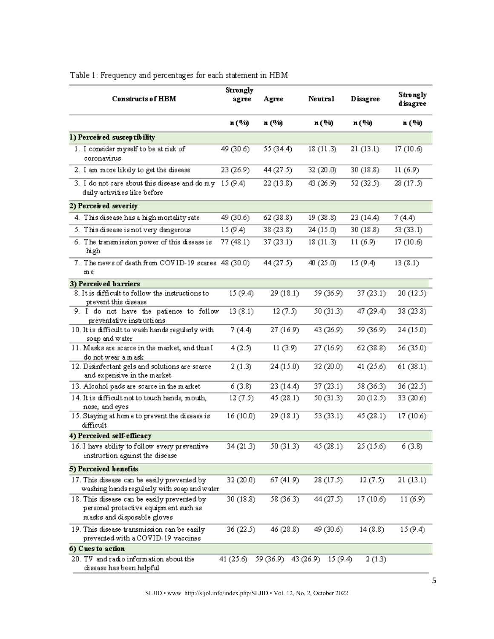| <b>Constructs of HBM</b>                                                                                            | Strongly<br>agree | Agree     | Neutral              | <b>Disagree</b> | Strongly<br>disagree |
|---------------------------------------------------------------------------------------------------------------------|-------------------|-----------|----------------------|-----------------|----------------------|
|                                                                                                                     | n (%)             | n (%)     | n (%)                | n (%)           | n (%)                |
| 1) Perceived susceptibility                                                                                         |                   |           |                      |                 |                      |
| 1. I consider myself to be at risk of<br>coronavirus                                                                | 49 (30.6)         | 55 (34.4) | 18(11.3)             | 21(13.1)        | 17 (10.6)            |
| 2. I am more likely to get the disease                                                                              | 23 (26.9)         | 44 (27.5) | 32 (20.0)            | 30(18.8)        | 11(6.9)              |
| 3. I do not care about this disease and do my $15(9.4)$<br>daily activities like before                             |                   | 22(13.8)  | 43 (26.9)            | 52 (32.5)       | 28(17.5)             |
| 2) Perceived severity                                                                                               |                   |           |                      |                 |                      |
| 4. This disease has a high mortality rate                                                                           | 49 (30.6)         | 62 (38.8) | 19 (38.8)            | 23 (14.4)       | 7(4.4)               |
| 5. This disease is not very dangerous                                                                               | 15(9.4)           | 38 (23.8) | 24(15.0)             | 30(18.8)        | 53 (33.1)            |
| 6. The transmission power of this disease is<br>high                                                                | 77 (48.1)         | 37 (23.1) | 18(11.3)             | 11(6.9)         | 17 (10.6)            |
| 7. The news of death from COVID-19 scares 48 (30.0)<br>m e                                                          |                   | 44 (27.5) | 40 (25.0)            | 15(9.4)         | 13(8.1)              |
| 3) Perceived barriers                                                                                               |                   |           |                      |                 |                      |
| 8. It is difficult to follow the instructions to<br>prevent this disease                                            | 15(9.4)           | 29 (18.1) | 59 (36.9)            | 37 (23.1)       | 20 (12.5)            |
| 9. I do not have the patience to follow<br>preventative instructions                                                | 13(8.1)           | 12(7.5)   | 50 (31.3)            | 47 (29.4)       | 38 (23.8)            |
| 10. It is difficult to wash hands regularly with<br>soap and water                                                  | 7(4.4)            | 27 (16.9) | 43 (26.9)            | 59 (36.9)       | 24(15.0)             |
| 11. Masks are scarce in the market, and thus I<br>do not wear a m ask                                               | 4(2.5)            | 11(3.9)   | 27(16.9)             | 62 (38.8)       | 56 (35.0)            |
| 12. Disinfectant gels and solutions are scarce<br>and expensive in the market                                       | 2(1.3)            | 24(15.0)  | 32 (20.0)            | 41 (25.6)       | 61 (38.1)            |
| 13. Alcohol pads are scarce in the market                                                                           | 6(3.8)            | 23(14.4)  | 37(23.1)             | 58 (36.3)       | 36 (22.5)            |
| 14. It is difficult not to touch hands, mouth,<br>nose, and eyes                                                    | 12(7.5)           | 45 (28.1) | 50 (31.3)            | 20 (12.5)       | 33 (20.6)            |
| 15. Staying at home to prevent the disease is<br>difficult                                                          | 16(10.0)          | 29 (18.1) | 53 (33.1)            | 45 (28.1)       | 17(10.6)             |
| 4) Perceived self-efficacy                                                                                          |                   |           |                      |                 |                      |
| 16. I have ability to follow every preventive<br>instruction against the disease                                    | 34 (21.3)         | 50 (31.3) | 45(28.1)             | 25(15.6)        | 6 (3.8)              |
| 5) Perceived benefits                                                                                               |                   |           |                      |                 |                      |
| 17. This disease can be easily prevented by<br>washing hands regularly with soap and water                          | 32 (20.0)         | 67 (41.9) | 28 (17.5)            | 12(7.5)         | 21 (13.1)            |
| 18. This disease can be easily prevented by<br>personal protective equipment such as<br>masks and disposable gloves | 30(18.8)          | 58 (36.3) | 44 (27.5)            | 17(10.6)        | 11(6.9)              |
| 19. This disease transmission can be easily<br>prevented with a COVID-19 vaccines                                   | 36(22.5)          | 46 (28.8) | 49 (30.6)            | 14(8.8)         | 15(9.4)              |
| 6) Cues to action                                                                                                   |                   |           |                      |                 |                      |
| 20. TV and radio information about the<br>disease has been helpful                                                  | 41(25.6)          | 59 (36.9) | 43 (26.9)<br>15(9.4) | 2(1.3)          |                      |

Table 1: Frequency and percentages for each statement in HBM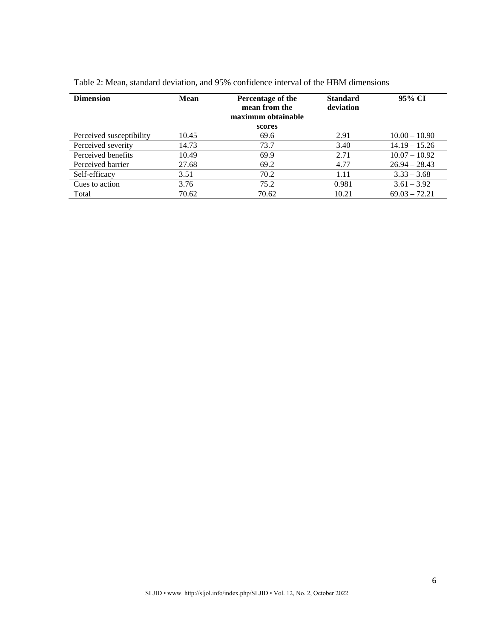| <b>Dimension</b>         | Mean  | Percentage of the<br>mean from the<br>maximum obtainable<br>scores | <b>Standard</b><br>deviation | 95% CI          |
|--------------------------|-------|--------------------------------------------------------------------|------------------------------|-----------------|
| Perceived susceptibility | 10.45 | 69.6                                                               | 2.91                         | $10.00 - 10.90$ |
| Perceived severity       | 14.73 | 73.7                                                               | 3.40                         | $14.19 - 15.26$ |
| Perceived benefits       | 10.49 | 69.9                                                               | 2.71                         | $10.07 - 10.92$ |
| Perceived barrier        | 27.68 | 69.2                                                               | 4.77                         | $26.94 - 28.43$ |
| Self-efficacy            | 3.51  | 70.2                                                               | 1.11                         | $3.33 - 3.68$   |
| Cues to action           | 3.76  | 75.2                                                               | 0.981                        | $3.61 - 3.92$   |
| Total                    | 70.62 | 70.62                                                              | 10.21                        | $69.03 - 72.21$ |

Table 2: Mean, standard deviation, and 95% confidence interval of the HBM dimensions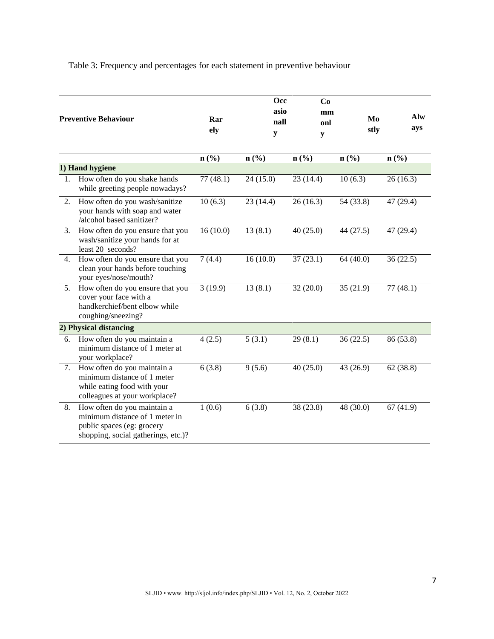Table 3: Frequency and percentages for each statement in preventive behaviour

|    | <b>Preventive Behaviour</b>                                                                                                        | Rar<br>ely | <b>Occ</b><br>asio<br>nall<br>y | Co<br>mm<br>onl<br>y        | Mo<br>stly                  | Alw<br>ays                  |
|----|------------------------------------------------------------------------------------------------------------------------------------|------------|---------------------------------|-----------------------------|-----------------------------|-----------------------------|
|    |                                                                                                                                    | n(%)       | n(%                             | $n\left(\frac{0}{0}\right)$ | $n\left(\frac{9}{6}\right)$ | $n\left(\frac{0}{0}\right)$ |
|    | 1) Hand hygiene                                                                                                                    |            |                                 |                             |                             |                             |
| 1. | How often do you shake hands<br>while greeting people nowadays?                                                                    | 77(48.1)   | 24(15.0)                        | 23(14.4)                    | 10(6.3)                     | 26(16.3)                    |
| 2. | How often do you wash/sanitize<br>your hands with soap and water<br>/alcohol based sanitizer?                                      | 10(6.3)    | 23(14.4)                        | 26(16.3)                    | 54 (33.8)                   | 47 (29.4)                   |
| 3. | How often do you ensure that you<br>wash/sanitize your hands for at<br>least 20 seconds?                                           | 16(10.0)   | 13(8.1)                         | 40(25.0)                    | 44 (27.5)                   | 47 (29.4)                   |
| 4. | How often do you ensure that you<br>clean your hands before touching<br>your eyes/nose/mouth?                                      | 7(4.4)     | 16(10.0)                        | 37(23.1)                    | 64(40.0)                    | 36(22.5)                    |
| 5. | How often do you ensure that you<br>cover your face with a<br>handkerchief/bent elbow while<br>coughing/sneezing?                  | 3(19.9)    | 13(8.1)                         | 32(20.0)                    | 35(21.9)                    | 77(48.1)                    |
|    | 2) Physical distancing                                                                                                             |            |                                 |                             |                             |                             |
| 6. | How often do you maintain a<br>minimum distance of 1 meter at<br>your workplace?                                                   | 4(2.5)     | 5(3.1)                          | 29(8.1)                     | 36(22.5)                    | 86 (53.8)                   |
| 7. | How often do you maintain a<br>minimum distance of 1 meter<br>while eating food with your<br>colleagues at your workplace?         | 6(3.8)     | 9(5.6)                          | 40(25.0)                    | 43 (26.9)                   | 62(38.8)                    |
| 8. | How often do you maintain a<br>minimum distance of 1 meter in<br>public spaces (eg: grocery<br>shopping, social gatherings, etc.)? | 1(0.6)     | 6(3.8)                          | 38 (23.8)                   | 48 (30.0)                   | 67(41.9)                    |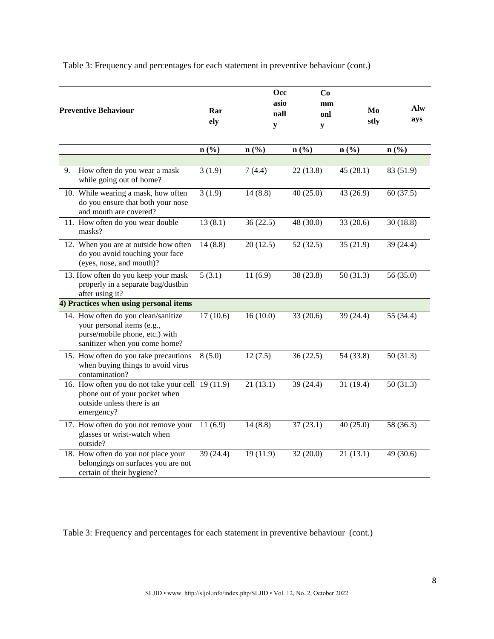| Table 3: Frequency and percentages for each statement in preventive behaviour (cont.) |  |  |  |
|---------------------------------------------------------------------------------------|--|--|--|
|                                                                                       |  |  |  |

|    | <b>Preventive Behaviour</b>                                                                                                          | Rar<br>ely | <b>Occ</b><br>asio<br>nall<br>${\bf y}$ | Co<br>mm<br>onl<br>${\bf y}$ | Mo<br>stly  | Alw<br>ays |
|----|--------------------------------------------------------------------------------------------------------------------------------------|------------|-----------------------------------------|------------------------------|-------------|------------|
|    |                                                                                                                                      | n(%)       | n(%)                                    | n(%)                         | n(%)        | n(%)       |
| 9. | How often do you wear a mask<br>while going out of home?                                                                             | 3(1.9)     | 7(4.4)                                  | 22(13.8)                     | 45 $(28.1)$ | 83 (51.9)  |
|    | 10. While wearing a mask, how often<br>do you ensure that both your nose<br>and mouth are covered?                                   | 3(1.9)     | 14(8.8)                                 | 40(25.0)                     | 43(26.9)    | 60(37.5)   |
|    | 11. How often do you wear double<br>masks?                                                                                           | 13(8.1)    | 36(22.5)                                | 48 (30.0)                    | 33(20.6)    | 30(18.8)   |
|    | 12. When you are at outside how often<br>do you avoid touching your face<br>(eyes, nose, and mouth)?                                 | 14(8.8)    | 20(12.5)                                | 52(32.5)                     | 35(21.9)    | 39 (24.4)  |
|    | 13. How often do you keep your mask<br>properly in a separate bag/dustbin<br>after using it?                                         | 5(3.1)     | 11(6.9)                                 | 38 (23.8)                    | 50(31.3)    | 56 (35.0)  |
|    | 4) Practices when using personal items                                                                                               |            |                                         |                              |             |            |
|    | 14. How often do you clean/sanitize<br>your personal items (e.g.,<br>purse/mobile phone, etc.) with<br>sanitizer when you come home? | 17(10.6)   | 16(10.0)                                | 33(20.6)                     | 39(24.4)    | 55 (34.4)  |
|    | 15. How often do you take precautions<br>when buying things to avoid virus<br>contamination?                                         | 8(5.0)     | 12(7.5)                                 | 36(22.5)                     | 54 (33.8)   | 50(31.3)   |
|    | 16. How often you do not take your cell 19 (11.9)<br>phone out of your pocket when<br>outside unless there is an<br>emergency?       |            | 21(13.1)                                | 39(24.4)                     | 31(19.4)    | 50(31.3)   |
|    | 17. How often do you not remove your<br>glasses or wrist-watch when<br>outside?                                                      | 11(6.9)    | 14(8.8)                                 | 37(23.1)                     | 40(25.0)    | 58 (36.3)  |
|    | 18. How often do you not place your<br>belongings on surfaces you are not<br>certain of their hygiene?                               | 39 (24.4)  | 19 (11.9)                               | 32(20.0)                     | 21(13.1)    | 49 (30.6)  |

Table 3: Frequency and percentages for each statement in preventive behaviour (cont.)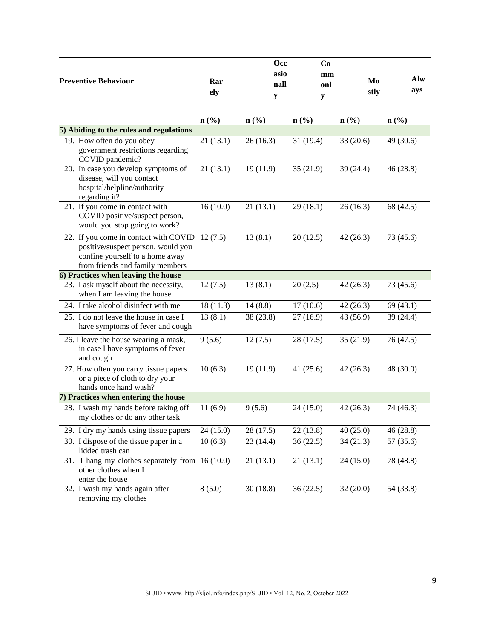| <b>Preventive Behaviour</b>                                                                                                                       | Rar<br>ely | Occ<br>asio<br>nall<br>y    | Co<br>mm<br>onl<br>y | Mo<br>stly                  | Alw<br>ays |
|---------------------------------------------------------------------------------------------------------------------------------------------------|------------|-----------------------------|----------------------|-----------------------------|------------|
|                                                                                                                                                   | n(%)       | $n\left(\frac{0}{0}\right)$ | n(%                  | $n\left(\frac{0}{0}\right)$ | n(%)       |
| 5) Abiding to the rules and regulations                                                                                                           |            |                             |                      |                             |            |
| 19. How often do you obey<br>government restrictions regarding<br>COVID pandemic?                                                                 | 21(13.1)   | 26(16.3)                    | 31 (19.4)            | 33(20.6)                    | 49 (30.6)  |
| 20. In case you develop symptoms of<br>disease, will you contact<br>hospital/helpline/authority<br>regarding it?                                  | 21(13.1)   | 19 (11.9)                   | 35(21.9)             | 39(24.4)                    | 46(28.8)   |
| 21. If you come in contact with<br>COVID positive/suspect person,<br>would you stop going to work?                                                | 16(10.0)   | 21(13.1)                    | 29(18.1)             | 26(16.3)                    | 68 (42.5)  |
| 22. If you come in contact with COVID<br>positive/suspect person, would you<br>confine yourself to a home away<br>from friends and family members | 12(7.5)    | 13(8.1)                     | 20(12.5)             | 42(26.3)                    | 73 (45.6)  |
| 6) Practices when leaving the house                                                                                                               |            |                             |                      |                             |            |
| 23. I ask myself about the necessity,<br>when I am leaving the house                                                                              | 12(7.5)    | 13(8.1)                     | 20(2.5)              | 42(26.3)                    | 73 (45.6)  |
| 24. I take alcohol disinfect with me                                                                                                              | 18(11.3)   | 14(8.8)                     | 17(10.6)             | 42(26.3)                    | 69(43.1)   |
| 25. I do not leave the house in case I<br>have symptoms of fever and cough                                                                        | 13(8.1)    | 38 (23.8)                   | 27(16.9)             | 43 (56.9)                   | 39 (24.4)  |
| 26. I leave the house wearing a mask,<br>in case I have symptoms of fever<br>and cough                                                            | 9(5.6)     | 12(7.5)                     | 28 (17.5)            | 35(21.9)                    | 76 (47.5)  |
| 27. How often you carry tissue papers<br>or a piece of cloth to dry your<br>hands once hand wash?                                                 | 10(6.3)    | 19 (11.9)                   | 41(25.6)             | 42(26.3)                    | 48 (30.0)  |
| 7) Practices when entering the house                                                                                                              |            |                             |                      |                             |            |
| 28. I wash my hands before taking off<br>my clothes or do any other task                                                                          | 11(6.9)    | 9(5.6)                      | 24(15.0)             | 42(26.3)                    | 74 (46.3)  |
| 29. I dry my hands using tissue papers                                                                                                            | 24 (15.0)  | 28 (17.5)                   | 22(13.8)             | 40(25.0)                    | 46(28.8)   |
| 30. I dispose of the tissue paper in a<br>lidded trash can                                                                                        | 10(6.3)    | 23 (14.4)                   | 36(22.5)             | 34(21.3)                    | 57 (35.6)  |
| 31. I hang my clothes separately from 16 (10.0)<br>other clothes when I<br>enter the house                                                        |            | 21(13.1)                    | 21(13.1)             | 24(15.0)                    | 78 (48.8)  |
| 32. I wash my hands again after<br>removing my clothes                                                                                            | 8(5.0)     | 30(18.8)                    | 36(22.5)             | 32(20.0)                    | 54 (33.8)  |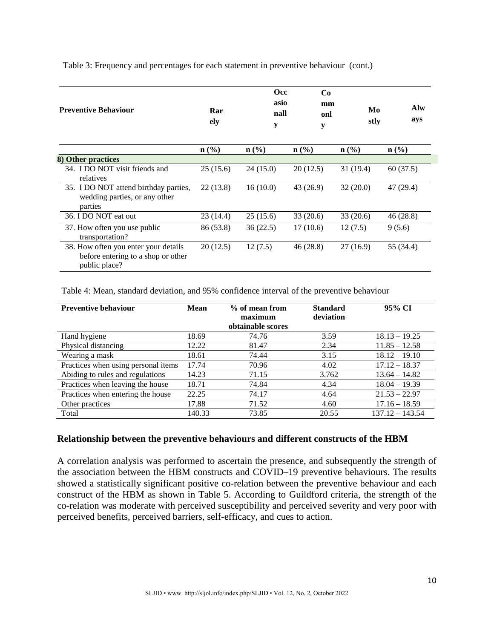| <b>Preventive Behaviour</b>                                                                 | Rar<br>ely                  | <b>Occ</b><br>asio<br>nall<br>y | Co<br>mm<br>onl<br>${\bf y}$ | Mo<br>stly                  | Alw<br>ays                  |
|---------------------------------------------------------------------------------------------|-----------------------------|---------------------------------|------------------------------|-----------------------------|-----------------------------|
|                                                                                             | $n\left(\frac{9}{6}\right)$ | $n\left(\frac{9}{6}\right)$     | $n\left(\frac{0}{0}\right)$  | $n\left(\frac{0}{0}\right)$ | $n\left(\frac{0}{0}\right)$ |
| 8) Other practices                                                                          |                             |                                 |                              |                             |                             |
| 34. I DO NOT visit friends and<br>relatives                                                 | 25(15.6)                    | 24(15.0)                        | 20(12.5)                     | 31 (19.4)                   | 60(37.5)                    |
| 35. I DO NOT attend birthday parties,<br>wedding parties, or any other<br>parties           | 22(13.8)                    | 16(10.0)                        | 43 (26.9)                    | 32(20.0)                    | 47 (29.4)                   |
| 36. I DO NOT eat out                                                                        | 23 (14.4)                   | 25(15.6)                        | 33(20.6)                     | 33(20.6)                    | 46(28.8)                    |
| 37. How often you use public<br>transportation?                                             | 86 (53.8)                   | 36(22.5)                        | 17(10.6)                     | 12(7.5)                     | 9(5.6)                      |
| 38. How often you enter your details<br>before entering to a shop or other<br>public place? | 20(12.5)                    | 12(7.5)                         | 46 (28.8)                    | 27(16.9)                    | 55 (34.4)                   |

Table 3: Frequency and percentages for each statement in preventive behaviour (cont.)

Table 4: Mean, standard deviation, and 95% confidence interval of the preventive behaviour

| <b>Preventive behaviour</b>         | Mean   | % of mean from<br>maximum<br>obtainable scores | <b>Standard</b><br>deviation | 95% CI            |
|-------------------------------------|--------|------------------------------------------------|------------------------------|-------------------|
| Hand hygiene                        | 18.69  | 74.76                                          | 3.59                         | $18.13 - 19.25$   |
| Physical distancing                 | 12.22  | 81.47                                          | 2.34                         | $11.85 - 12.58$   |
| Wearing a mask                      | 18.61  | 74.44                                          | 3.15                         | $18.12 - 19.10$   |
| Practices when using personal items | 17.74  | 70.96                                          | 4.02                         | $17.12 - 18.37$   |
| Abiding to rules and regulations    | 14.23  | 71.15                                          | 3.762                        | $13.64 - 14.82$   |
| Practices when leaving the house    | 18.71  | 74.84                                          | 4.34                         | $18.04 - 19.39$   |
| Practices when entering the house   | 22.25  | 74.17                                          | 4.64                         | $21.53 - 22.97$   |
| Other practices                     | 17.88  | 71.52                                          | 4.60                         | $17.16 - 18.59$   |
| Total                               | 140.33 | 73.85                                          | 20.55                        | $137.12 - 143.54$ |

### **Relationship between the preventive behaviours and different constructs of the HBM**

A correlation analysis was performed to ascertain the presence, and subsequently the strength of the association between the HBM constructs and COVID–19 preventive behaviours. The results showed a statistically significant positive co-relation between the preventive behaviour and each construct of the HBM as shown in Table 5. According to Guildford criteria, the strength of the co-relation was moderate with perceived susceptibility and perceived severity and very poor with perceived benefits, perceived barriers, self-efficacy, and cues to action.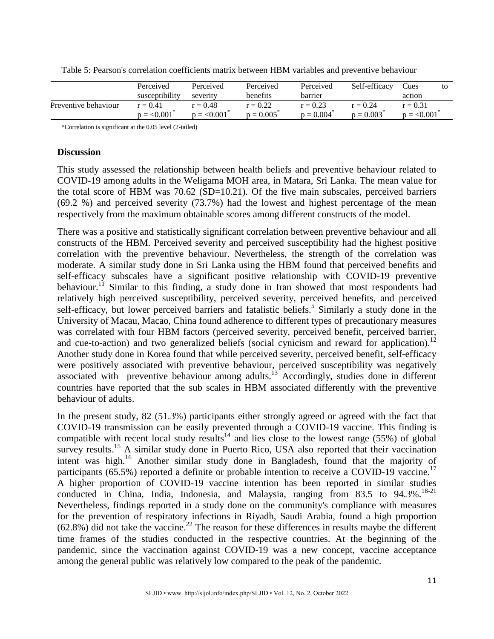|                      | Perceived<br>susceptibility | Perceived<br>severity     | Perceived<br><b>benefits</b> | Perceived<br>barrier      | Self-efficacy             | Cues<br>action            | to |
|----------------------|-----------------------------|---------------------------|------------------------------|---------------------------|---------------------------|---------------------------|----|
| Preventive behaviour | $r = 0.41$<br>$p = 0.001$   | $r = 0.48$<br>$p = 0.001$ | $r = 0.22$<br>$p = 0.005$    | $r = 0.23$<br>$p = 0.004$ | $r = 0.24$<br>$p = 0.003$ | $r = 0.31$<br>$p = 0.001$ |    |

Table 5: Pearson's correlation coefficients matrix between HBM variables and preventive behaviour

\*Correlation is significant at the 0.05 level (2-tailed)

## **Discussion**

This study assessed the relationship between health beliefs and preventive behaviour related to COVID-19 among adults in the Weligama MOH area, in Matara, Sri Lanka. The mean value for the total score of HBM was 70.62 (SD=10.21). Of the five main subscales, perceived barriers (69.2 %) and perceived severity (73.7%) had the lowest and highest percentage of the mean respectively from the maximum obtainable scores among different constructs of the model.

There was a positive and statistically significant correlation between preventive behaviour and all constructs of the HBM. Perceived severity and perceived susceptibility had the highest positive correlation with the preventive behaviour. Nevertheless, the strength of the correlation was moderate. A similar study done in Sri Lanka using the HBM found that perceived benefits and self-efficacy subscales have a significant positive relationship with COVID-19 preventive behaviour.<sup>11</sup> Similar to this finding, a study done in Iran showed that most respondents had relatively high perceived susceptibility, perceived severity, perceived benefits, and perceived self-efficacy, but lower perceived barriers and fatalistic beliefs.<sup>5</sup> Similarly a study done in the University of Macau, Macao, China found adherence to different types of precautionary measures was correlated with four HBM factors (perceived severity, perceived benefit, perceived barrier, and cue-to-action) and two generalized beliefs (social cynicism and reward for application).<sup>12</sup> Another study done in Korea found that while perceived severity, perceived benefit, self-efficacy were positively associated with preventive behaviour, perceived susceptibility was negatively associated with preventive behaviour among adults.<sup>13</sup> Accordingly, studies done in different countries have reported that the sub scales in HBM associated differently with the preventive behaviour of adults.

In the present study, 82 (51.3%) participants either strongly agreed or agreed with the fact that COVID-19 transmission can be easily prevented through a COVID-19 vaccine. This finding is compatible with recent local study results<sup>14</sup> and lies close to the lowest range (55%) of global survey results.<sup>15</sup> A similar study done in Puerto Rico, USA also reported that their vaccination intent was high. <sup>16</sup> Another similar study done in Bangladesh, found that the majority of participants (65.5%) reported a definite or probable intention to receive a COVID-19 vaccine.<sup>17</sup> A higher proportion of COVID-19 vaccine intention has been reported in similar studies conducted in China, India, Indonesia, and Malaysia, ranging from 83.5 to 94.3%.<sup>18-21</sup> Nevertheless, findings reported in a study done on the community's compliance with measures for the prevention of respiratory infections in Riyadh, Saudi Arabia, found a high proportion  $(62.8\%)$  did not take the vaccine.<sup>22</sup> The reason for these differences in results maybe the different time frames of the studies conducted in the respective countries. At the beginning of the pandemic, since the vaccination against COVID-19 was a new concept, vaccine acceptance among the general public was relatively low compared to the peak of the pandemic.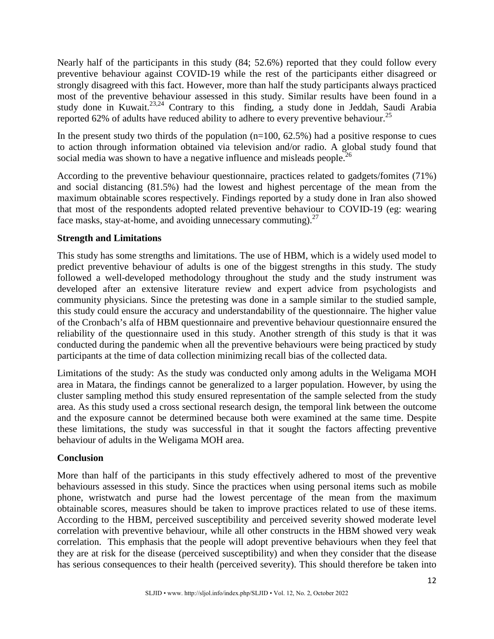Nearly half of the participants in this study (84; 52.6%) reported that they could follow every preventive behaviour against COVID-19 while the rest of the participants either disagreed or strongly disagreed with this fact. However, more than half the study participants always practiced most of the preventive behaviour assessed in this study. Similar results have been found in a study done in Kuwait.<sup>23,24</sup> Contrary to this finding, a study done in Jeddah, Saudi Arabia reported 62% of adults have reduced ability to adhere to every preventive behaviour.<sup>25</sup>

In the present study two thirds of the population  $(n=100, 62.5%)$  had a positive response to cues to action through information obtained via television and/or radio. A global study found that social media was shown to have a negative influence and misleads people.<sup>26</sup>

According to the preventive behaviour questionnaire, practices related to gadgets/fomites (71%) and social distancing (81.5%) had the lowest and highest percentage of the mean from the maximum obtainable scores respectively. Findings reported by a study done in Iran also showed that most of the respondents adopted related preventive behaviour to COVID-19 (eg: wearing face masks, stay-at-home, and avoiding unnecessary commuting).<sup>27</sup>

## **Strength and Limitations**

This study has some strengths and limitations. The use of HBM, which is a widely used model to predict preventive behaviour of adults is one of the biggest strengths in this study. The study followed a well-developed methodology throughout the study and the study instrument was developed after an extensive literature review and expert advice from psychologists and community physicians. Since the pretesting was done in a sample similar to the studied sample, this study could ensure the accuracy and understandability of the questionnaire. The higher value of the Cronbach's alfa of HBM questionnaire and preventive behaviour questionnaire ensured the reliability of the questionnaire used in this study. Another strength of this study is that it was conducted during the pandemic when all the preventive behaviours were being practiced by study participants at the time of data collection minimizing recall bias of the collected data.

Limitations of the study: As the study was conducted only among adults in the Weligama MOH area in Matara, the findings cannot be generalized to a larger population. However, by using the cluster sampling method this study ensured representation of the sample selected from the study area. As this study used a cross sectional research design, the temporal link between the outcome and the exposure cannot be determined because both were examined at the same time. Despite these limitations, the study was successful in that it sought the factors affecting preventive behaviour of adults in the Weligama MOH area.

## **Conclusion**

More than half of the participants in this study effectively adhered to most of the preventive behaviours assessed in this study. Since the practices when using personal items such as mobile phone, wristwatch and purse had the lowest percentage of the mean from the maximum obtainable scores, measures should be taken to improve practices related to use of these items. According to the HBM, perceived susceptibility and perceived severity showed moderate level correlation with preventive behaviour, while all other constructs in the HBM showed very weak correlation. This emphasis that the people will adopt preventive behaviours when they feel that they are at risk for the disease (perceived susceptibility) and when they consider that the disease has serious consequences to their health (perceived severity). This should therefore be taken into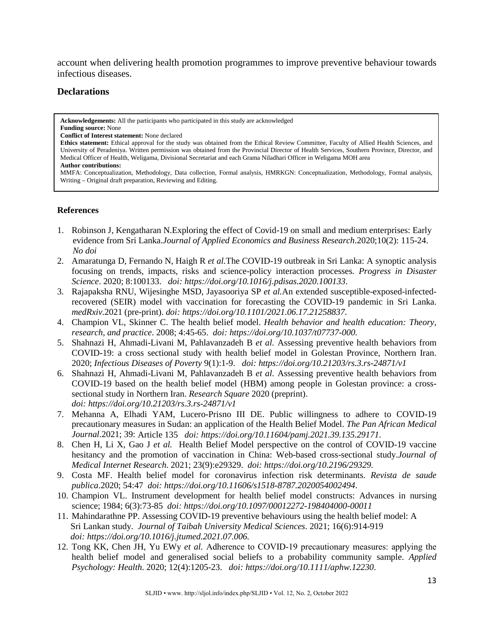account when delivering health promotion programmes to improve preventive behaviour towards infectious diseases.

## **Declarations**

**Acknowledgements:** All the participants who participated in this study are acknowledged **Funding source:** None **Conflict of Interest statement:** None declared **Ethics statement:** Ethical approval for the study was obtained from the Ethical Review Committee, Faculty of Allied Health Sciences, and University of Peradeniya. Written permission was obtained from the Provincial Director of Health Services, Southern Province, Director, and Medical Officer of Health, Weligama, Divisional Secretariat and each Grama Niladhari Officer in Weligama MOH area **Author contributions:** MMFA: Conceptualization, Methodology, Data collection, Formal analysis, HMRKGN: Conceptualization, Methodology, Formal analysis, Writing – Original draft preparation, Reviewing and Editing.

#### **References**

- 1. Robinson J, Kengatharan N.Exploring the effect of Covid-19 on small and medium enterprises: Early evidence from Sri Lanka.*Journal of Applied Economics and Business Research*.2020;10(2): 115-24. *No doi*
- 2. Amaratunga D, Fernando N, Haigh R *et al.*The COVID-19 outbreak in Sri Lanka: A synoptic analysis focusing on trends, impacts, risks and science-policy interaction processes. *Progress in Disaster Science*. 2020; 8:100133. *doi: https://doi.org/10.1016/j.pdisas.2020.100133*.
- 3. Rajapaksha RNU, Wijesinghe MSD, Jayasooriya SP *et al.*An extended susceptible-exposed-infectedrecovered (SEIR) model with vaccination for forecasting the COVID-19 pandemic in Sri Lanka. *medRxiv*.2021 (pre-print). *doi: https://doi.org/10.1101/2021.06.17.21258837*.
- 4. Champion VL, Skinner C. The health belief model. *Health behavior and health education: Theory, research, and practice*. 2008; 4:45-65. *doi: https://doi.org/10.1037/t07737-000.*
- 5. Shahnazi H, Ahmadi-Livani M, Pahlavanzadeh B *et al.* Assessing preventive health behaviors from COVID-19: a cross sectional study with health belief model in Golestan Province, Northern Iran. 2020; *Infectious Diseases of Poverty* 9(1):1-9. *doi: https://doi.org/10.21203/rs.3.rs-24871/v1*
- 6. Shahnazi H, Ahmadi-Livani M, Pahlavanzadeh B *et al.* Assessing preventive health behaviors from COVID-19 based on the health belief model (HBM) among people in Golestan province: a crosssectional study in Northern Iran. *Research Square* 2020 (preprint). *doi: https://doi.org/10.21203/rs.3.rs-24871/v1*
- 7. Mehanna A, Elhadi YAM, Lucero-Prisno III DE. Public willingness to adhere to COVID-19 precautionary measures in Sudan: an application of the Health Belief Model. *The Pan African Medical Journal*.2021; 39: Article 135 *doi: https://doi.org/10.11604/pamj.2021.39.135.29171*.
- 8. Chen H, Li X, Gao J *et al.* Health Belief Model perspective on the control of COVID-19 vaccine hesitancy and the promotion of vaccination in China: Web-based cross-sectional study.*Journal of Medical Internet Research*. 2021; 23(9):e29329. *doi: https://doi.org/10.2196/29329.*
- 9. Costa MF. Health belief model for coronavirus infection risk determinants. *Revista de saude publica*.2020; 54:47 *doi: https://doi.org/10.11606/s1518-8787.2020054002494*.
- 10. Champion VL. Instrument development for health belief model constructs: Advances in nursing science; 1984; 6(3):73-85 *doi: https://doi.org/10.1097/00012272-198404000-00011*
- 11. Mahindarathne PP. Assessing COVID-19 preventive behaviours using the health belief model: A Sri Lankan study. *Journal of Taibah University Medical Sciences*. 2021; 16(6):914-919 *doi: https://doi.org/10.1016/j.jtumed.2021.07.006.*
- 12. Tong KK, Chen JH, Yu EWy *et al.* Adherence to COVID‐19 precautionary measures: applying the health belief model and generalised social beliefs to a probability community sample. *Applied Psychology: Health*. 2020; 12(4):1205-23. *doi: https://doi.org/10.1111/aphw.12230*.